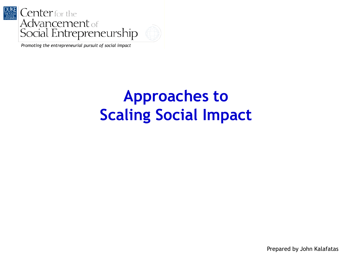



*Promoting the entrepreneurial pursuit of social impact*

## **Approaches to Scaling Social Impact**

Prepared by John Kalafatas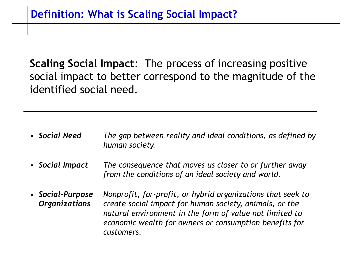**Scaling Social Impact**: The process of increasing positive social impact to better correspond to the magnitude of the identified social need.

- *Social Need The gap between reality and ideal conditions, as defined by human society.*
- *Social Impact The consequence that moves us closer to or further away from the conditions of an ideal society and world.*
- *Social-Purpose Organizations Nonprofit, for-profit, or hybrid organizations that seek to create social impact for human society, animals, or the natural environment in the form of value not limited to economic wealth for owners or consumption benefits for customers.*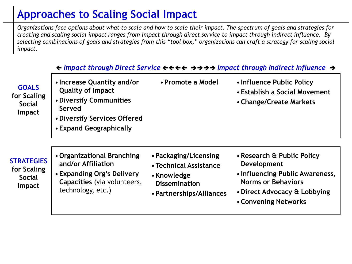## **Approaches to Scaling Social Impact**

*Organizations face options about what to scale and how to scale their impact. The spectrum of goals and strategies for creating and scaling social impact ranges from impact through direct service to impact through indirect influence. By selecting combinations of goals and strategies from this "tool box," organizations can craft a strategy for scaling social impact.*

|                                                                    | $\leftrightarrow$ Impact through Direct Service $\leftrightarrow\leftrightarrow\leftrightarrow\leftrightarrow$ Impact through Indirect Influence $\rightarrow$ |                                                                                                                    |                                                                                                                                                                   |  |
|--------------------------------------------------------------------|----------------------------------------------------------------------------------------------------------------------------------------------------------------|--------------------------------------------------------------------------------------------------------------------|-------------------------------------------------------------------------------------------------------------------------------------------------------------------|--|
| <b>GOALS</b><br>for Scaling<br><b>Social</b><br><b>Impact</b>      | • Increase Quantity and/or<br><b>Quality of Impact</b><br>• Diversify Communities<br>Served<br>• Diversify Services Offered<br>• Expand Geographically         | • Promote a Model                                                                                                  | • Influence Public Policy<br>• Establish a Social Movement<br>• Change/Create Markets                                                                             |  |
| <b>STRATEGIES</b><br>for Scaling<br><b>Social</b><br><b>Impact</b> | • Organizational Branching<br>and/or Affiliation<br>• Expanding Org's Delivery<br>Capacities (via volunteers,<br>technology, etc.)                             | • Packaging/Licensing<br>• Technical Assistance<br>• Knowledge<br><b>Dissemination</b><br>• Partnerships/Alliances | • Research & Public Policy<br>Development<br>• Influencing Public Awareness,<br><b>Norms or Behaviors</b><br>• Direct Advocacy & Lobbying<br>• Convening Networks |  |